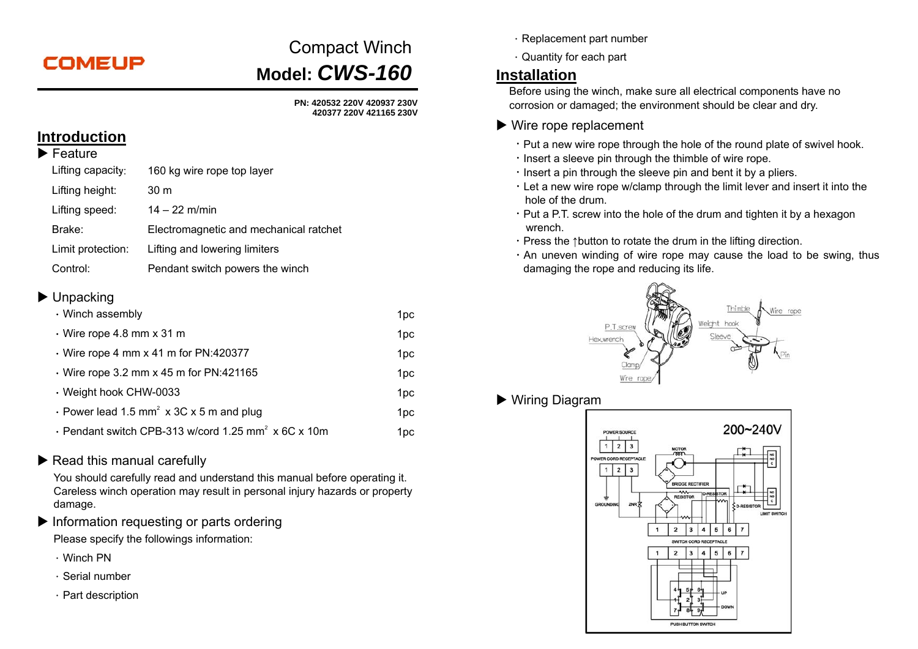# **COMEUP**

# Compact Winch **Model:** *CWS-160*

**PN: 420532 220V 420937 230V 420377 220V 421165 230V** 

## **Introduction**

| ▸ Feature         |                                        |
|-------------------|----------------------------------------|
| Lifting capacity: | 160 kg wire rope top layer             |
| Lifting height:   | 30 m                                   |
| Lifting speed:    | $14 - 22$ m/min                        |
| Brake:            | Electromagnetic and mechanical ratchet |
| Limit protection: | Lifting and lowering limiters          |
| Control:          | Pendant switch powers the winch        |

#### ▶ Unpacking

| • Winch assembly                                                |                 |
|-----------------------------------------------------------------|-----------------|
| $\cdot$ Wire rope 4.8 mm x 31 m                                 | 1 <sub>pc</sub> |
| $\cdot$ Wire rope 4 mm x 41 m for PN:420377                     | 1pc             |
| $\cdot$ Wire rope 3.2 mm x 45 m for PN:421165                   | 1pc             |
| · Weight hook CHW-0033                                          | 1pc             |
| • Power lead 1.5 mm <sup>2</sup> x 3C x 5 m and plug            | 1pc             |
| · Pendant switch CPB-313 w/cord 1.25 mm <sup>2</sup> x 6C x 10m | 1pc             |

#### Read this manual carefully

You should carefully read and understand this manual before operating it. Careless winch operation may result in personal injury hazards or property damage.

 $\blacktriangleright$  Information requesting or parts ordering

Please specify the followings information:

- .Winch PN
- .Serial number
- $\cdot$  Part description
- .Replacement part number
- .Quantity for each part

## **Installation**

Before using the winch, make sure all electrical components have no corrosion or damaged; the environment should be clear and dry.

#### ▶ Wire rope replacement

- . Put a new wire rope through the hole of the round plate of swivel hook.
- $\cdot$  lnsert a sleeve pin through the thimble of wire rope.
- $\cdot$  lnsert a pin through the sleeve pin and bent it by a pliers.
- .Let a new wire rope w/clamp through the limit lever and insert it into the hole of the drum.
- $\cdot$  Put a P.T. screw into the hole of the drum and tighten it by a hexagon wrench.
- .Press the ↑button to rotate the drum in the lifting direction.
- $\cdot$  An uneven winding of wire rope may cause the load to be swing, thus damaging the rope and reducing its life.



Wiring Diagram